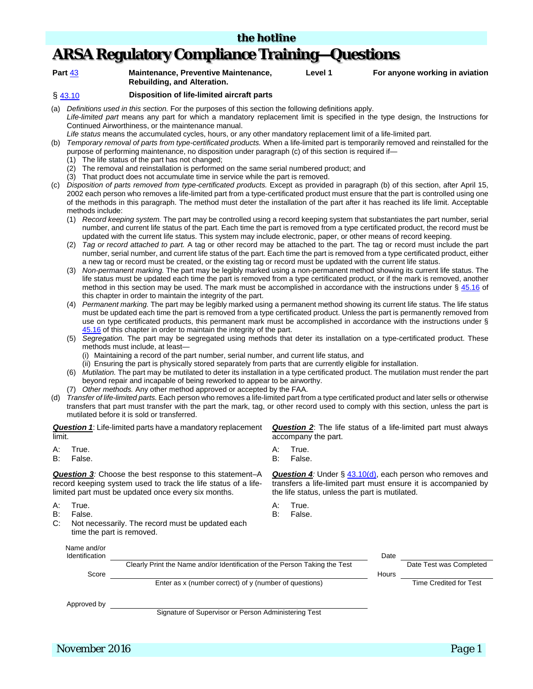### *the hotline*

# **ARSA Regulatory Compliance Training—Questions**

- 
- **Part** [43](http://www.ecfr.gov/cgi-bin/retrieveECFR?gp=&SID=13289ad35faa6833abb2f4870e534adb&mc=true&n=pt14.1.43&r=PART&ty=HTML) **Maintenance, Preventive Maintenance, Rebuilding, and Alteration.**

**Level 1 For anyone working in aviation**

#### § [43.10](http://www.ecfr.gov/cgi-bin/text-idx?SID=817c1d5430f5add5a402861ed7093959&mc=true&node=se14.1.43_110&rgn=div8) **Disposition of life-limited aircraft parts**

- (a) *Definitions used in this section.* For the purposes of this section the following definitions apply.
- *Life-limited part* means any part for which a mandatory replacement limit is specified in the type design, the Instructions for Continued Airworthiness, or the maintenance manual.
	- *Life status* means the accumulated cycles, hours, or any other mandatory replacement limit of a life-limited part.
- (b) *Temporary removal of parts from type-certificated products.* When a life-limited part is temporarily removed and reinstalled for the purpose of performing maintenance, no disposition under paragraph (c) of this section is required if—
	- (1) The life status of the part has not changed;
	- (2) The removal and reinstallation is performed on the same serial numbered product; and
	- (3) That product does not accumulate time in service while the part is removed.
- (c) *Disposition of parts removed from type-certificated products.* Except as provided in paragraph (b) of this section, after April 15, 2002 each person who removes a life-limited part from a type-certificated product must ensure that the part is controlled using one of the methods in this paragraph. The method must deter the installation of the part after it has reached its life limit. Acceptable methods include:
	- (1) *Record keeping system.* The part may be controlled using a record keeping system that substantiates the part number, serial number, and current life status of the part. Each time the part is removed from a type certificated product, the record must be updated with the current life status. This system may include electronic, paper, or other means of record keeping.
	- (2) *Tag or record attached to part.* A tag or other record may be attached to the part. The tag or record must include the part number, serial number, and current life status of the part. Each time the part is removed from a type certificated product, either a new tag or record must be created, or the existing tag or record must be updated with the current life status.
	- (3) *Non-permanent marking.* The part may be legibly marked using a non-permanent method showing its current life status. The life status must be updated each time the part is removed from a type certificated product, or if the mark is removed, another method in this section may be used. The mark must be accomplished in accordance with the instructions under  $\S$  [45.16](http://www.ecfr.gov/cgi-bin/text-idx?SID=85aafa5e3ceeb608744aecd273d7d65f&mc=true&node=se14.1.45_116&rgn=div8) of this chapter in order to maintain the integrity of the part.
	- (4) *Permanent marking.* The part may be legibly marked using a permanent method showing its current life status. The life status must be updated each time the part is removed from a type certificated product. Unless the part is permanently removed from use on type certificated products, this permanent mark must be accomplished in accordance with the instructions under § [45.16](http://www.ecfr.gov/cgi-bin/text-idx?SID=85aafa5e3ceeb608744aecd273d7d65f&mc=true&node=se14.1.45_116&rgn=div8) of this chapter in order to maintain the integrity of the part.
	- (5) *Segregation.* The part may be segregated using methods that deter its installation on a type-certificated product. These methods must include, at least—
		- (i) Maintaining a record of the part number, serial number, and current life status, and
		- (ii) Ensuring the part is physically stored separately from parts that are currently eligible for installation.
	- (6) *Mutilation.* The part may be mutilated to deter its installation in a type certificated product. The mutilation must render the part beyond repair and incapable of being reworked to appear to be airworthy.
	- (7) *Other methods.* Any other method approved or accepted by the FAA.
- (d) *Transfer of life-limited parts.* Each person who removes a life-limited part from a type certificated product and later sells or otherwise transfers that part must transfer with the part the mark, tag, or other record used to comply with this section, unless the part is mutilated before it is sold or transferred.

*Question 1*: Life-limited parts have a mandatory replacement limit.

- A: True. A: True.
- B: False. B: False.

*Question 3:* Choose the best response to this statement–A record keeping system used to track the life status of a lifelimited part must be updated once every six months.

- A: True. A: True.
- 
- C: Not necessarily. The record must be updated each time the part is removed.

*Question 2*: The life status of a life-limited part must always accompany the part.

- 
- 

**Question 4***:* Under § [43.10\(d\),](http://www.ecfr.gov/cgi-bin/text-idx?SID=817c1d5430f5add5a402861ed7093959&mc=true&node=se14.1.43_110&rgn=div8) each person who removes and transfers a life-limited part must ensure it is accompanied by the life status, unless the part is mutilated.

- 
- B: False. B: False.

| Name and/or<br>Identification |                                                                            | Date  |                         |
|-------------------------------|----------------------------------------------------------------------------|-------|-------------------------|
|                               | Clearly Print the Name and/or Identification of the Person Taking the Test |       | Date Test was Completed |
| Score                         |                                                                            | Hours |                         |
|                               | Enter as x (number correct) of y (number of questions)                     |       | Time Credited for Test  |
|                               |                                                                            |       |                         |
| Approved by                   |                                                                            |       |                         |
|                               | Signature of Supervisor or Person Administering Test                       |       |                         |